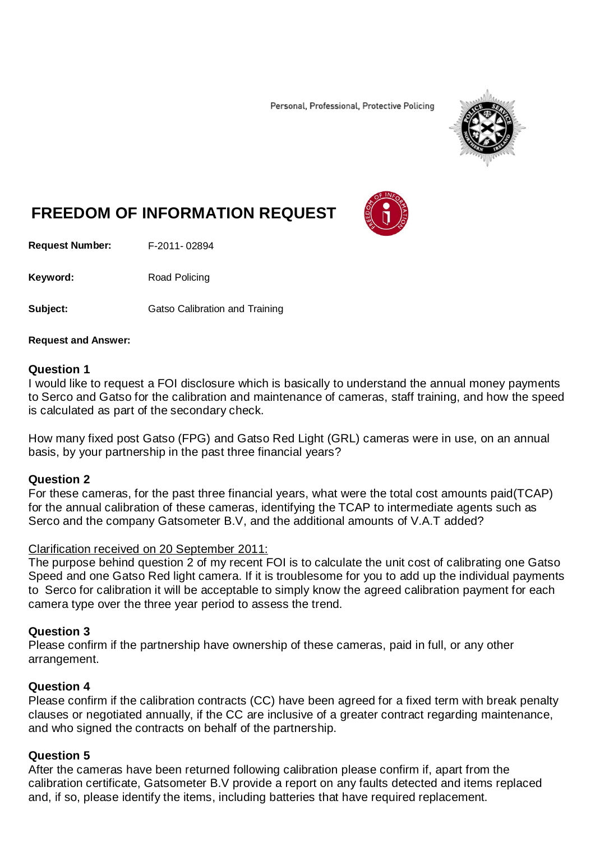Personal, Professional, Protective Policing



# **FREEDOM OF INFORMATION REQUEST**

**Request Number:** F-2011- 02894

Keyword: Road Policing

**Subject:** Gatso Calibration and Training

#### **Request and Answer:**

### **Question 1**

I would like to request a FOI disclosure which is basically to understand the annual money payments to Serco and Gatso for the calibration and maintenance of cameras, staff training, and how the speed is calculated as part of the secondary check.

How many fixed post Gatso (FPG) and Gatso Red Light (GRL) cameras were in use, on an annual basis, by your partnership in the past three financial years?

### **Question 2**

For these cameras, for the past three financial years, what were the total cost amounts paid(TCAP) for the annual calibration of these cameras, identifying the TCAP to intermediate agents such as Serco and the company Gatsometer B.V, and the additional amounts of V.A.T added?

### Clarification received on 20 September 2011:

The purpose behind question 2 of my recent FOI is to calculate the unit cost of calibrating one Gatso Speed and one Gatso Red light camera. If it is troublesome for you to add up the individual payments to Serco for calibration it will be acceptable to simply know the agreed calibration payment for each camera type over the three year period to assess the trend.

### **Question 3**

Please confirm if the partnership have ownership of these cameras, paid in full, or any other arrangement.

### **Question 4**

Please confirm if the calibration contracts (CC) have been agreed for a fixed term with break penalty clauses or negotiated annually, if the CC are inclusive of a greater contract regarding maintenance, and who signed the contracts on behalf of the partnership.

### **Question 5**

After the cameras have been returned following calibration please confirm if, apart from the calibration certificate, Gatsometer B.V provide a report on any faults detected and items replaced and, if so, please identify the items, including batteries that have required replacement.